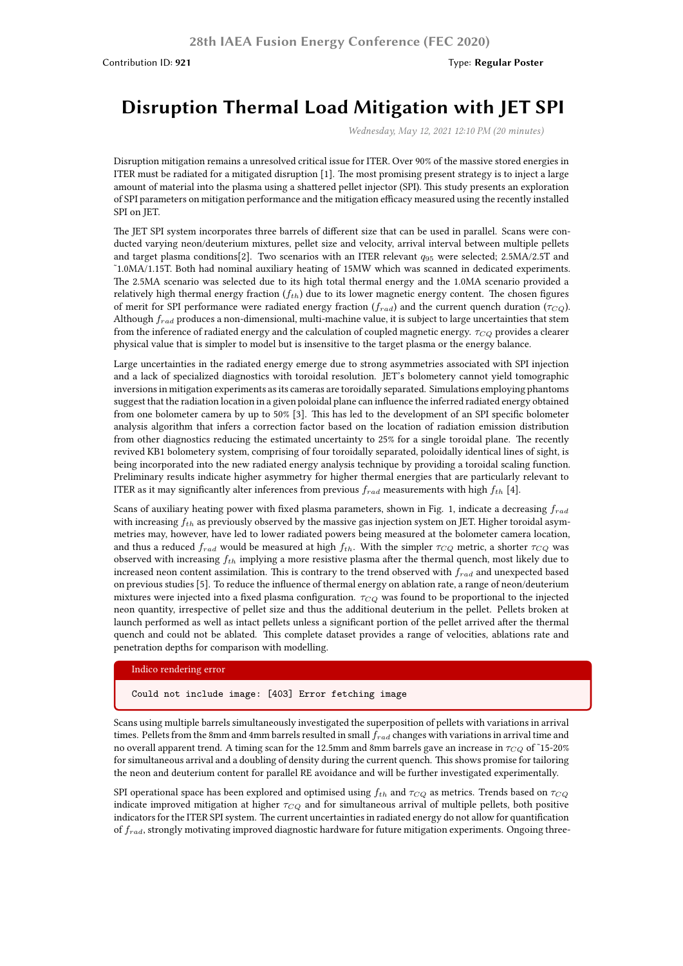# **Disruption Thermal Load Mitigation with JET SPI**

*Wednesday, May 12, 2021 12:10 PM (20 minutes)*

Disruption mitigation remains a unresolved critical issue for ITER. Over 90% of the massive stored energies in ITER must be radiated for a mitigated disruption [1]. The most promising present strategy is to inject a large amount of material into the plasma using a shattered pellet injector (SPI). This study presents an exploration of SPI parameters on mitigation performance and the mitigation efficacy measured using the recently installed SPI on JET.

The JET SPI system incorporates three barrels of different size that can be used in parallel. Scans were conducted varying neon/deuterium mixtures, pellet size and velocity, arrival interval between multiple pellets and target plasma conditions[2]. Two scenarios with an ITER relevant *q*<sup>95</sup> were selected; 2.5MA/2.5T and ˜1.0MA/1.15T. Both had nominal auxiliary heating of 15MW which was scanned in dedicated experiments. The 2.5MA scenario was selected due to its high total thermal energy and the 1.0MA scenario provided a relatively high thermal energy fraction (*fth*) due to its lower magnetic energy content. The chosen figures of merit for SPI performance were radiated energy fraction (*frad*) and the current quench duration (*τCQ*). Although *frad* produces a non-dimensional, multi-machine value, it is subject to large uncertainties that stem from the inference of radiated energy and the calculation of coupled magnetic energy. *τCQ* provides a clearer physical value that is simpler to model but is insensitive to the target plasma or the energy balance.

Large uncertainties in the radiated energy emerge due to strong asymmetries associated with SPI injection and a lack of specialized diagnostics with toroidal resolution. JET's bolometery cannot yield tomographic inversions in mitigation experiments as its cameras are toroidally separated. Simulations employing phantoms suggest that the radiation location in a given poloidal plane can influence the inferred radiated energy obtained from one bolometer camera by up to 50% [3]. This has led to the development of an SPI specific bolometer analysis algorithm that infers a correction factor based on the location of radiation emission distribution from other diagnostics reducing the estimated uncertainty to 25% for a single toroidal plane. The recently revived KB1 bolometery system, comprising of four toroidally separated, poloidally identical lines of sight, is being incorporated into the new radiated energy analysis technique by providing a toroidal scaling function. Preliminary results indicate higher asymmetry for higher thermal energies that are particularly relevant to ITER as it may significantly alter inferences from previous  $f_{rad}$  measurements with high  $f_{th}$  [4].

Scans of auxiliary heating power with fixed plasma parameters, shown in Fig. 1, indicate a decreasing *frad* with increasing *fth* as previously observed by the massive gas injection system on JET. Higher toroidal asymmetries may, however, have led to lower radiated powers being measured at the bolometer camera location, and thus a reduced  $f_{rad}$  would be measured at high  $f_{th}$ . With the simpler  $\tau_{CO}$  metric, a shorter  $\tau_{CO}$  was observed with increasing *fth* implying a more resistive plasma after the thermal quench, most likely due to increased neon content assimilation. This is contrary to the trend observed with *frad* and unexpected based on previous studies [5]. To reduce the influence of thermal energy on ablation rate, a range of neon/deuterium mixtures were injected into a fixed plasma configuration.  $\tau_{CO}$  was found to be proportional to the injected neon quantity, irrespective of pellet size and thus the additional deuterium in the pellet. Pellets broken at launch performed as well as intact pellets unless a significant portion of the pellet arrived after the thermal quench and could not be ablated. This complete dataset provides a range of velocities, ablations rate and penetration depths for comparison with modelling.

#### Indico rendering error

Could not include image: [403] Error fetching image

Scans using multiple barrels simultaneously investigated the superposition of pellets with variations in arrival times. Pellets from the 8mm and 4mm barrels resulted in small *frad* changes with variations in arrival time and no overall apparent trend. A timing scan for the 12.5mm and 8mm barrels gave an increase in *τCQ* of ˜15-20% for simultaneous arrival and a doubling of density during the current quench. This shows promise for tailoring the neon and deuterium content for parallel RE avoidance and will be further investigated experimentally.

SPI operational space has been explored and optimised using *fth* and *τCQ* as metrics. Trends based on *τCQ* indicate improved mitigation at higher *τCQ* and for simultaneous arrival of multiple pellets, both positive indicators for the ITER SPI system. The current uncertainties in radiated energy do not allow for quantification of *frad*, strongly motivating improved diagnostic hardware for future mitigation experiments. Ongoing three